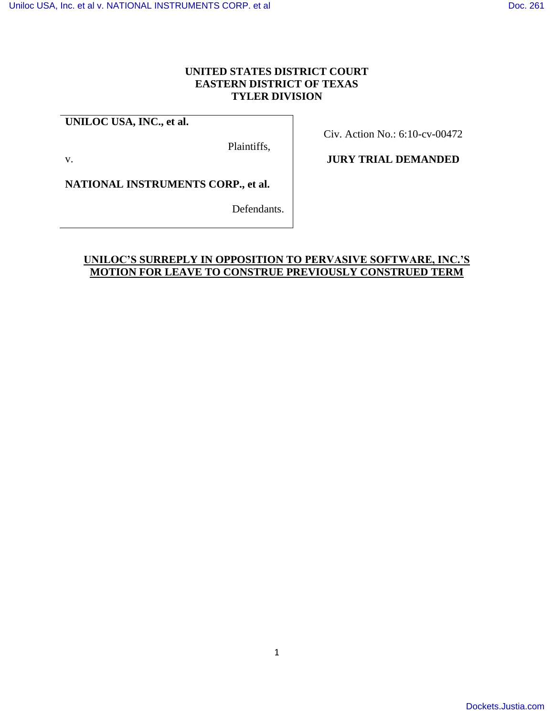#### **UNITED STATES DISTRICT COURT EASTERN DISTRICT OF TEXAS TYLER DIVISION**

# **UNILOC USA, INC., et al.**

Plaintiffs,

v.

Civ. Action No.: 6:10-cv-00472

### **JURY TRIAL DEMANDED**

**NATIONAL INSTRUMENTS CORP., et al.**

Defendants.

### **UNILOC'S SURREPLY IN OPPOSITION TO PERVASIVE SOFTWARE, INC.'S MOTION FOR LEAVE TO CONSTRUE PREVIOUSLY CONSTRUED TERM**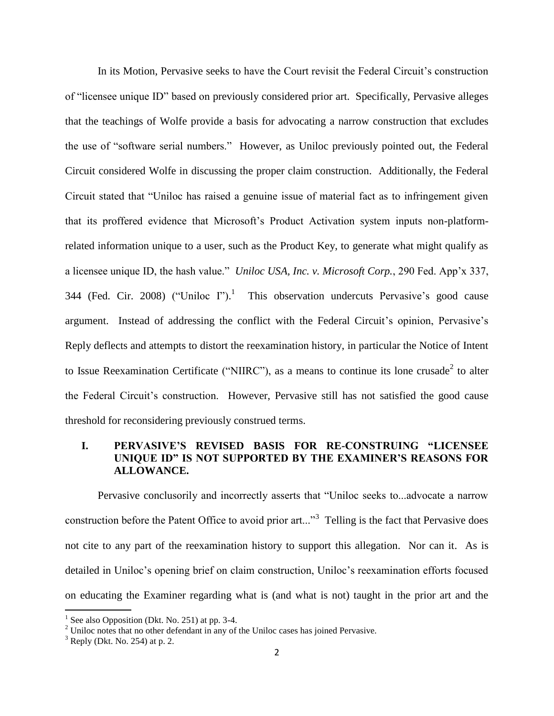In its Motion, Pervasive seeks to have the Court revisit the Federal Circuit"s construction of "licensee unique ID" based on previously considered prior art. Specifically, Pervasive alleges that the teachings of Wolfe provide a basis for advocating a narrow construction that excludes the use of "software serial numbers." However, as Uniloc previously pointed out, the Federal Circuit considered Wolfe in discussing the proper claim construction. Additionally, the Federal Circuit stated that "Uniloc has raised a genuine issue of material fact as to infringement given that its proffered evidence that Microsoft's Product Activation system inputs non-platformrelated information unique to a user, such as the Product Key, to generate what might qualify as a licensee unique ID, the hash value." *Uniloc USA, Inc. v. Microsoft Corp.*, 290 Fed. App"x 337, 344 (Fed. Cir. 2008) ("Uniloc I").<sup>1</sup> This observation undercuts Pervasive's good cause argument. Instead of addressing the conflict with the Federal Circuit's opinion, Pervasive's Reply deflects and attempts to distort the reexamination history, in particular the Notice of Intent to Issue Reexamination Certificate ("NIIRC"), as a means to continue its lone crusade<sup>2</sup> to alter the Federal Circuit"s construction. However, Pervasive still has not satisfied the good cause threshold for reconsidering previously construed terms.

#### **I. PERVASIVE'S REVISED BASIS FOR RE-CONSTRUING "LICENSEE UNIQUE ID" IS NOT SUPPORTED BY THE EXAMINER'S REASONS FOR ALLOWANCE.**

Pervasive conclusorily and incorrectly asserts that "Uniloc seeks to...advocate a narrow construction before the Patent Office to avoid prior art..."<sup>3</sup> Telling is the fact that Pervasive does not cite to any part of the reexamination history to support this allegation. Nor can it. As is detailed in Uniloc"s opening brief on claim construction, Uniloc"s reexamination efforts focused on educating the Examiner regarding what is (and what is not) taught in the prior art and the

l

<sup>&</sup>lt;sup>1</sup> See also Opposition (Dkt. No. 251) at pp. 3-4.

<sup>&</sup>lt;sup>2</sup> Uniloc notes that no other defendant in any of the Uniloc cases has joined Pervasive.

 $3$  Reply (Dkt. No. 254) at p. 2.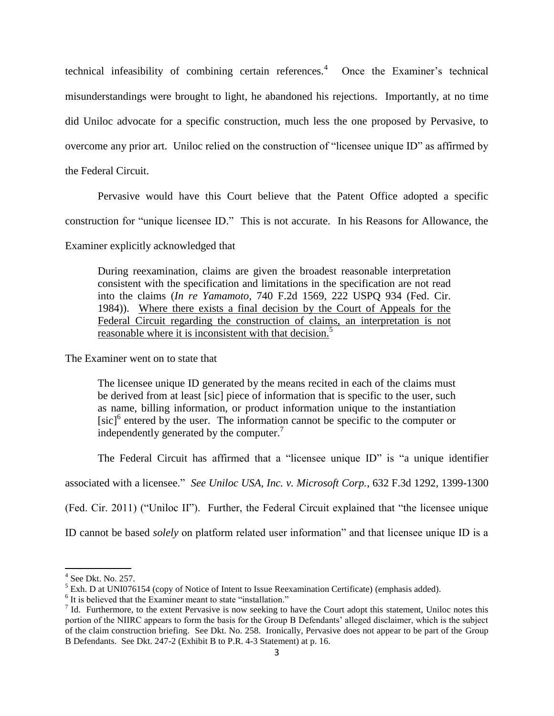technical infeasibility of combining certain references. $4$  Once the Examiner's technical misunderstandings were brought to light, he abandoned his rejections. Importantly, at no time did Uniloc advocate for a specific construction, much less the one proposed by Pervasive, to overcome any prior art. Uniloc relied on the construction of "licensee unique ID" as affirmed by the Federal Circuit.

Pervasive would have this Court believe that the Patent Office adopted a specific construction for "unique licensee ID." This is not accurate. In his Reasons for Allowance, the

Examiner explicitly acknowledged that

During reexamination, claims are given the broadest reasonable interpretation consistent with the specification and limitations in the specification are not read into the claims (*In re Yamamoto,* 740 F.2d 1569, 222 USPQ 934 (Fed. Cir. 1984)). Where there exists a final decision by the Court of Appeals for the Federal Circuit regarding the construction of claims, an interpretation is not reasonable where it is inconsistent with that decision.<sup>5</sup>

The Examiner went on to state that

The licensee unique ID generated by the means recited in each of the claims must be derived from at least [sic] piece of information that is specific to the user, such as name, billing information, or product information unique to the instantiation [sic]<sup>6</sup> entered by the user. The information cannot be specific to the computer or independently generated by the computer.<sup>7</sup>

The Federal Circuit has affirmed that a "licensee unique ID" is "a unique identifier

associated with a licensee." *See Uniloc USA, Inc. v. Microsoft Corp.*, 632 F.3d 1292, 1399-1300

(Fed. Cir. 2011) ("Uniloc II"). Further, the Federal Circuit explained that "the licensee unique

ID cannot be based *solely* on platform related user information" and that licensee unique ID is a

 $\overline{\phantom{a}}$ 

<sup>4</sup> See Dkt. No. 257.

<sup>&</sup>lt;sup>5</sup> Exh. D at UNI076154 (copy of Notice of Intent to Issue Reexamination Certificate) (emphasis added).

<sup>&</sup>lt;sup>6</sup> It is believed that the Examiner meant to state "installation."

 $<sup>7</sup>$  Id. Furthermore, to the extent Pervasive is now seeking to have the Court adopt this statement, Uniloc notes this</sup> portion of the NIIRC appears to form the basis for the Group B Defendants" alleged disclaimer, which is the subject of the claim construction briefing. See Dkt. No. 258. Ironically, Pervasive does not appear to be part of the Group B Defendants. See Dkt. 247-2 (Exhibit B to P.R. 4-3 Statement) at p. 16.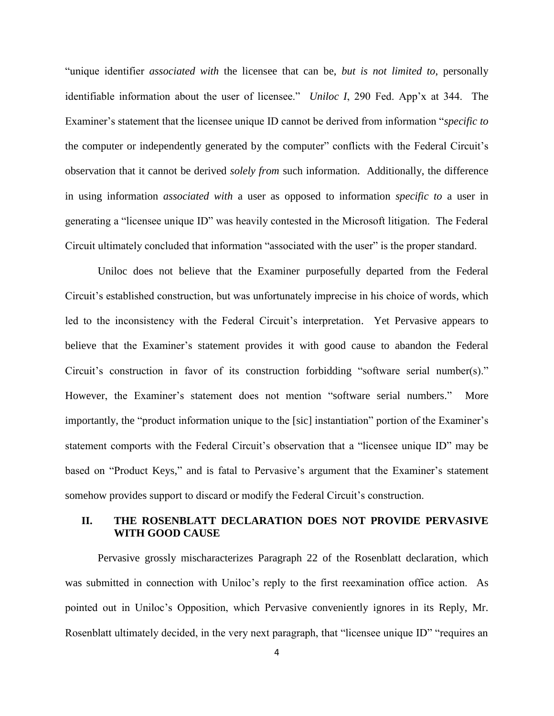"unique identifier *associated with* the licensee that can be, *but is not limited to*, personally identifiable information about the user of licensee." *Uniloc I*, 290 Fed. App'x at 344. The Examiner"s statement that the licensee unique ID cannot be derived from information "*specific to* the computer or independently generated by the computer" conflicts with the Federal Circuit"s observation that it cannot be derived *solely from* such information. Additionally, the difference in using information *associated with* a user as opposed to information *specific to* a user in generating a "licensee unique ID" was heavily contested in the Microsoft litigation. The Federal Circuit ultimately concluded that information "associated with the user" is the proper standard.

Uniloc does not believe that the Examiner purposefully departed from the Federal Circuit"s established construction, but was unfortunately imprecise in his choice of words, which led to the inconsistency with the Federal Circuit's interpretation. Yet Pervasive appears to believe that the Examiner's statement provides it with good cause to abandon the Federal Circuit's construction in favor of its construction forbidding "software serial number(s)." However, the Examiner's statement does not mention "software serial numbers." More importantly, the "product information unique to the [sic] instantiation" portion of the Examiner's statement comports with the Federal Circuit's observation that a "licensee unique ID" may be based on "Product Keys," and is fatal to Pervasive's argument that the Examiner's statement somehow provides support to discard or modify the Federal Circuit's construction.

#### **II. THE ROSENBLATT DECLARATION DOES NOT PROVIDE PERVASIVE WITH GOOD CAUSE**

Pervasive grossly mischaracterizes Paragraph 22 of the Rosenblatt declaration, which was submitted in connection with Uniloc's reply to the first reexamination office action. As pointed out in Uniloc"s Opposition, which Pervasive conveniently ignores in its Reply, Mr. Rosenblatt ultimately decided, in the very next paragraph, that "licensee unique ID" "requires an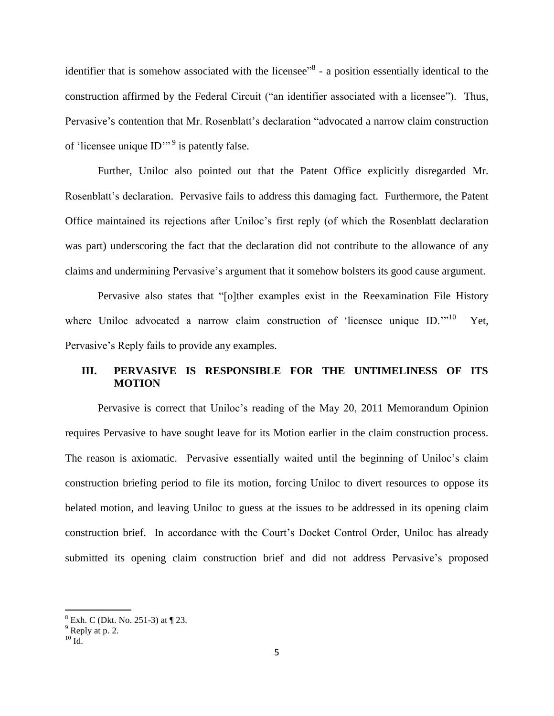identifier that is somehow associated with the licensee<sup>38</sup> - a position essentially identical to the construction affirmed by the Federal Circuit ("an identifier associated with a licensee"). Thus, Pervasive"s contention that Mr. Rosenblatt"s declaration "advocated a narrow claim construction of 'licensee unique  $ID$ <sup>" 9</sup> is patently false.

Further, Uniloc also pointed out that the Patent Office explicitly disregarded Mr. Rosenblatt's declaration. Pervasive fails to address this damaging fact. Furthermore, the Patent Office maintained its rejections after Uniloc"s first reply (of which the Rosenblatt declaration was part) underscoring the fact that the declaration did not contribute to the allowance of any claims and undermining Pervasive"s argument that it somehow bolsters its good cause argument.

Pervasive also states that "[o]ther examples exist in the Reexamination File History where Uniloc advocated a narrow claim construction of 'licensee unique ID."<sup>10</sup> Yet, Pervasive's Reply fails to provide any examples.

#### **III. PERVASIVE IS RESPONSIBLE FOR THE UNTIMELINESS OF ITS MOTION**

Pervasive is correct that Uniloc"s reading of the May 20, 2011 Memorandum Opinion requires Pervasive to have sought leave for its Motion earlier in the claim construction process. The reason is axiomatic. Pervasive essentially waited until the beginning of Uniloc"s claim construction briefing period to file its motion, forcing Uniloc to divert resources to oppose its belated motion, and leaving Uniloc to guess at the issues to be addressed in its opening claim construction brief. In accordance with the Court"s Docket Control Order, Uniloc has already submitted its opening claim construction brief and did not address Pervasive's proposed

l

 $8$  Exh. C (Dkt. No. 251-3) at  $\P$  23.

 $9^9$  Reply at p. 2.

 $^{10}$  Id.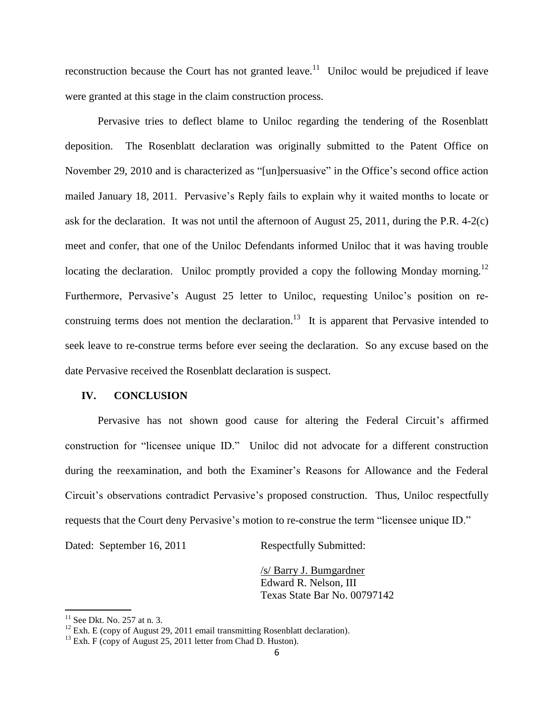reconstruction because the Court has not granted leave.<sup>11</sup> Uniloc would be prejudiced if leave were granted at this stage in the claim construction process.

Pervasive tries to deflect blame to Uniloc regarding the tendering of the Rosenblatt deposition. The Rosenblatt declaration was originally submitted to the Patent Office on November 29, 2010 and is characterized as "[un]persuasive" in the Office's second office action mailed January 18, 2011. Pervasive's Reply fails to explain why it waited months to locate or ask for the declaration. It was not until the afternoon of August 25, 2011, during the P.R. 4-2(c) meet and confer, that one of the Uniloc Defendants informed Uniloc that it was having trouble locating the declaration. Uniloc promptly provided a copy the following Monday morning.<sup>12</sup> Furthermore, Pervasive's August 25 letter to Uniloc, requesting Uniloc's position on reconstruing terms does not mention the declaration.<sup>13</sup> It is apparent that Pervasive intended to seek leave to re-construe terms before ever seeing the declaration. So any excuse based on the date Pervasive received the Rosenblatt declaration is suspect.

#### **IV. CONCLUSION**

Pervasive has not shown good cause for altering the Federal Circuit's affirmed construction for "licensee unique ID." Uniloc did not advocate for a different construction during the reexamination, and both the Examiner"s Reasons for Allowance and the Federal Circuit's observations contradict Pervasive's proposed construction. Thus, Uniloc respectfully requests that the Court deny Pervasive's motion to re-construe the term "licensee unique ID."

Dated: September 16, 2011 Respectfully Submitted:

/s/ Barry J. Bumgardner Edward R. Nelson, III Texas State Bar No. 00797142

l

 $11$  See Dkt. No. 257 at n. 3.

 $12$  Exh. E (copy of August 29, 2011 email transmitting Rosenblatt declaration).

 $13$  Exh. F (copy of August 25, 2011 letter from Chad D. Huston).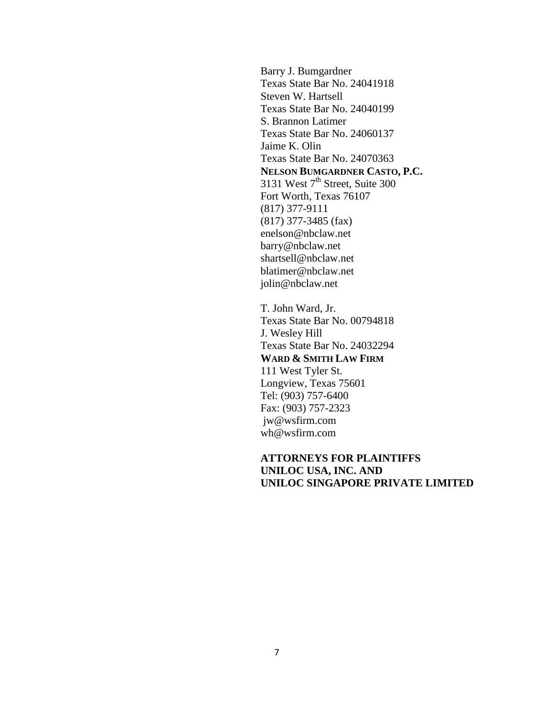Barry J. Bumgardner Texas State Bar No. 24041918 Steven W. Hartsell Texas State Bar No. 24040199 S. Brannon Latimer Texas State Bar No. 24060137 Jaime K. Olin Texas State Bar No. 24070363 **NELSON BUMGARDNER CASTO, P.C.** 3131 West  $7<sup>th</sup>$  Street, Suite 300 Fort Worth, Texas 76107 (817) 377-9111 (817) 377-3485 (fax) enelson@nbclaw.net barry@nbclaw.net shartsell@nbclaw.net blatimer@nbclaw.net jolin@nbclaw.net

T. John Ward, Jr. Texas State Bar No. 00794818 J. Wesley Hill Texas State Bar No. 24032294 **WARD & SMITH LAW FIRM**  111 West Tyler St. Longview, Texas 75601 Tel: (903) 757-6400 Fax: (903) 757-2323 jw@wsfirm.com wh@wsfirm.com

## **ATTORNEYS FOR PLAINTIFFS UNILOC USA, INC. AND UNILOC SINGAPORE PRIVATE LIMITED**